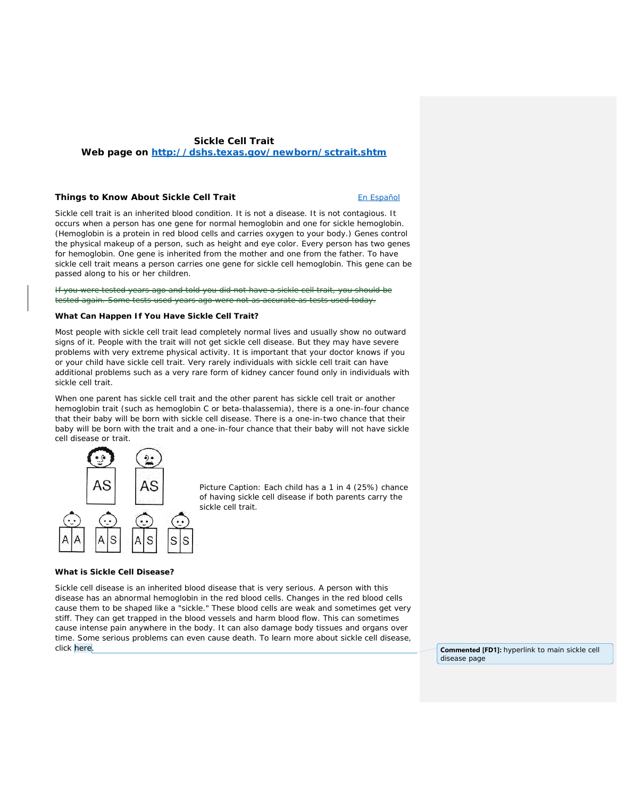# **Sickle Cell Trait**

**Web page on<http://dshs.texas.gov/newborn/sctrait.shtm>**

#### **Things to Know About Sickle Cell Trait Entitled Apple 2016** Enterprise Enterprise Enterprise Enterprise Enterprise

Sickle cell trait is an inherited blood condition. It is not a disease. It is not contagious. It occurs when a person has one gene for normal hemoglobin and one for sickle hemoglobin. (Hemoglobin is a protein in red blood cells and carries oxygen to your body.) Genes control the physical makeup of a person, such as height and eye color. Every person has two genes for hemoglobin. One gene is inherited from the mother and one from the father. To have sickle cell trait means a person carries one gene for sickle cell hemoglobin. This gene can be passed along to his or her children.

tested years ago and told you did no tested again. Some tests used years ago were not as accurate as tests used today.

# **What Can Happen If You Have Sickle Cell Trait?**

Most people with sickle cell trait lead completely normal lives and usually show no outward signs of it. People with the trait will not get sickle cell disease. But they may have severe problems with very extreme physical activity. It is important that your doctor knows if you or your child have sickle cell trait. Very rarely individuals with sickle cell trait can have additional problems such as a very rare form of kidney cancer found only in individuals with sickle cell trait.

When one parent has sickle cell trait and the other parent has sickle cell trait or another hemoglobin trait (such as hemoglobin C or beta-thalassemia), there is a one-in-four chance that their baby will be born with sickle cell disease. There is a one-in-two chance that their baby will be born with the trait and a one-in-four chance that their baby will not have sickle cell disease or trait.



*Picture Caption:* Each child has a 1 in 4 (25%) chance of having sickle cell disease if both parents carry the sickle cell trait.

# **What is Sickle Cell Disease?**

Sickle cell disease is an inherited blood disease that is very serious. A person with this disease has an abnormal hemoglobin in the red blood cells. Changes in the red blood cells cause them to be shaped like a "sickle." These blood cells are weak and sometimes get very stiff. They can get trapped in the blood vessels and harm blood flow. This can sometimes cause intense pain anywhere in the body. It can also damage body tissues and organs over time. Some serious problems can even cause death. To learn more about sickle cell disease, click here. **Commented [FD1]:** hyperlink to main sickle cell

disease page